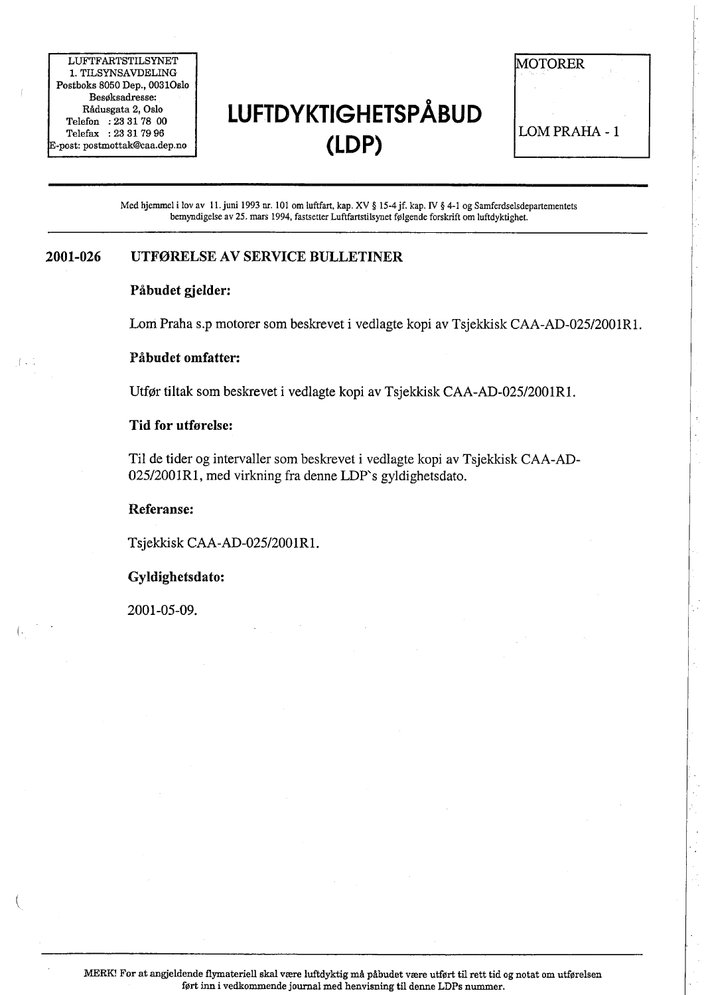LUFTFARTSTILSYNET 1. TILSYNSAVDELING Postboks 8050 Dep., 0031Oslo Besøksadresse: Rådusgata 2, Oslo Telefon : 23 31 78 00 Telefax: 23 31 7996 post: postmottak@caa.dep.no

# o LUFTDYKTIGHETSPABUD (LDP)

**MOTORER** LOM PRAHA - 1

Med hjemmel i lov av 11. juni 1993 nr. 101 om luftfart, kap. XV § 15-4 jf. kap. IV § 4-1 og Samferdselsdepartementets bemyndigelse av 25. mars 1994, fastsetter Luftfartstilsynet fØlgende forskrft om luftdyktighet.

#### 2001-026 UTFØRELSE AV SERVICE BULLETINER

#### Påbudet gjelder:

Lom Praha s.p motorer som beskrevet i vedlagte kopi av Tsjekkisk CAA-AD-025/2001R1.

### I. . Påbudet omfatter:

Utfør tiltak som beskrevet i vedlagte kopi av Tsjekksk CAA-AD-025/2001RL.

#### Tid for utførelse:

Til de tider og intervaller som beskrevet i vedlagte kopi av Tsjekkisk CAA-AD-02512001Rl, med virkning fra denne LDP's gyldighetsdato.

#### Referanse:

Tsjekkisk CAA-AD-025/2001R1.

#### Gyldighetsdato:

2001-05-09.

(  $\overline{\phantom{a}}$